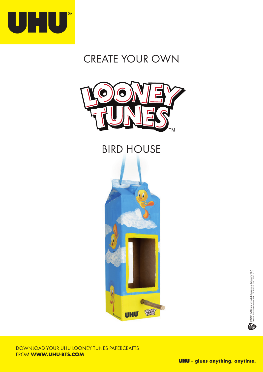

## CREATE YOUR OWN



## BIRD HOUSE



DOWNLOAD YOUR UHU LOONEY TUNES PAPERCRAFTS FROM WWW.UHU-BTS.COM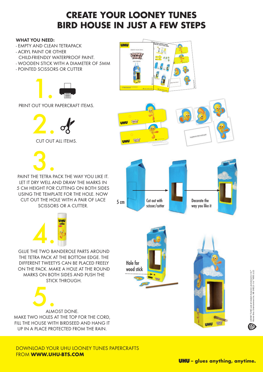## **CREATE YOUR LOONEY TUNES BIRD HOUSE IN JUST A FEW STEPS**

## WHAT YOU NEED:

- EMPTY AND CLEAN TETRAPACK
- ACRYL PAINT OR OTHER
- CHILD-FRIENDLY WATERPROOF PAINT.
- WOODEN STICK WITH A DIAMETER OF 5MM
- POINTED SCISSORS OR CUTTER



PRINT OUT YOUR PAPERCRAFT ITEMS.





PAINT THE TETRA PACK THE WAY YOU LIKE IT. LET IT DRY WELL AND DRAW THE MARKS IN 5 CM HEIGHT FOR CUTTING ON BOTH SIDES USING THE TEMPLATE FOR THE HOLE. NOW CUT OUT THE HOLE WITH A PAIR OF LACE SCISSORS OR A CUTTER.



GLUE THE TWO BANDEROLE PARTS AROUND THE TETRA PACK AT THE BOTTOM EDGE. THE DIFFERENT TWEETYS CAN BE PLACED FREELY ON THE PACK. MAKE A HOLE AT THE ROUND MARKS ON BOTH SIDES AND PUSH THE STICK THROUGH.



DOWNLOAD YOUR UHU LOONEY TUNES PAPERCRAFTS FROM WWW.UHU-BTS.COM